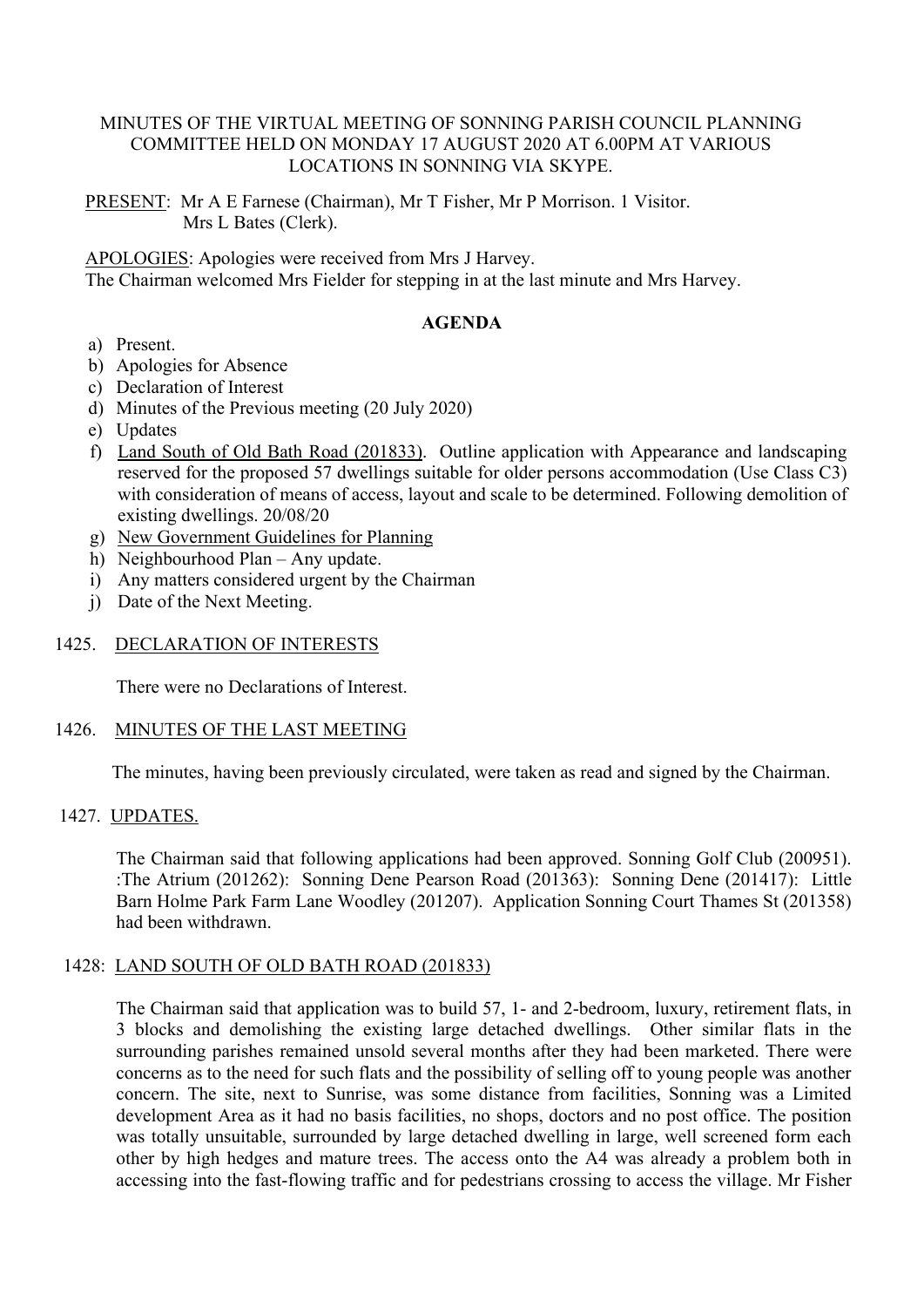## MINUTES OF THE VIRTUAL MEETING OF SONNING PARISH COUNCIL PLANNING COMMITTEE HELD ON MONDAY 17 AUGUST 2020 AT 6.00PM AT VARIOUS LOCATIONS IN SONNING VIA SKYPE.

PRESENT: Mr A E Farnese (Chairman), Mr T Fisher, Mr P Morrison. 1 Visitor. Mrs L Bates (Clerk).

APOLOGIES: Apologies were received from Mrs J Harvey.

The Chairman welcomed Mrs Fielder for stepping in at the last minute and Mrs Harvey.

### **AGENDA**

- a) Present.
- b) Apologies for Absence
- c) Declaration of Interest
- d) Minutes of the Previous meeting (20 July 2020)
- e) Updates
- f) Land South of Old Bath Road (201833). Outline application with Appearance and landscaping reserved for the proposed 57 dwellings suitable for older persons accommodation (Use Class C3) with consideration of means of access, layout and scale to be determined. Following demolition of existing dwellings. 20/08/20
- g) New Government Guidelines for Planning
- h) Neighbourhood Plan Any update.
- i) Any matters considered urgent by the Chairman
- j) Date of the Next Meeting.

### 1425. DECLARATION OF INTERESTS

There were no Declarations of Interest.

### 1426. MINUTES OF THE LAST MEETING

The minutes, having been previously circulated, were taken as read and signed by the Chairman.

### 1427. UPDATES.

The Chairman said that following applications had been approved. Sonning Golf Club (200951). :The Atrium (201262): Sonning Dene Pearson Road (201363): Sonning Dene (201417): Little Barn Holme Park Farm Lane Woodley (201207). Application Sonning Court Thames St (201358) had been withdrawn.

# 1428: LAND SOUTH OF OLD BATH ROAD (201833)

The Chairman said that application was to build 57, 1- and 2-bedroom, luxury, retirement flats, in 3 blocks and demolishing the existing large detached dwellings. Other similar flats in the surrounding parishes remained unsold several months after they had been marketed. There were concerns as to the need for such flats and the possibility of selling off to young people was another concern. The site, next to Sunrise, was some distance from facilities, Sonning was a Limited development Area as it had no basis facilities, no shops, doctors and no post office. The position was totally unsuitable, surrounded by large detached dwelling in large, well screened form each other by high hedges and mature trees. The access onto the A4 was already a problem both in accessing into the fast-flowing traffic and for pedestrians crossing to access the village. Mr Fisher